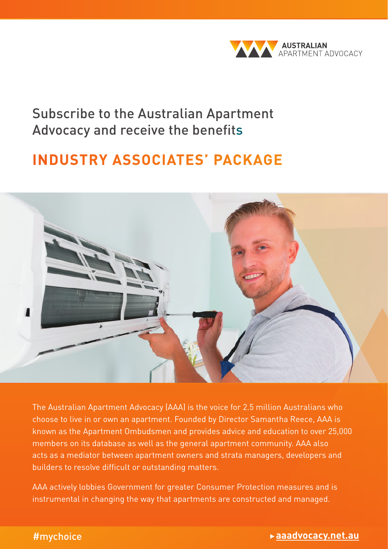

### Subscribe to the Australian Apartment Advocacy and receive the benefits

## **INDUSTRY ASSOCIATES' PACKAGE**



The Australian Apartment Advocacy (AAA) is the voice for 2.5 million Australians who choose to live in or own an apartment. Founded by Director Samantha Reece, AAA is known as the Apartment Ombudsmen and provides advice and education to over 25,000 members on its database as well as the general apartment community. AAA also acts as a mediator between apartment owners and strata managers, developers and builders to resolve difficult or outstanding matters.

AAA actively lobbies Government for greater Consumer Protection measures and is instrumental in changing the way that apartments are constructed and managed.

### What you need to know about living in an apartment | Owner's guide 1 #mychoice **aaadvocacy.net.au**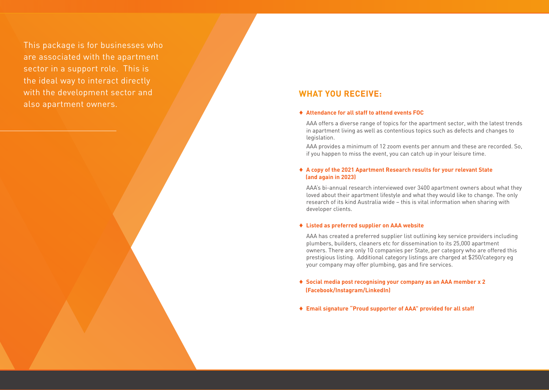This package is for businesses who are associated with the apartment sector in a support role. This is the ideal way to interact directly with the development sector and also apartment owners.

### **WHAT YOU RECEIVE:**

#### ♦ **Attendance for all staff to attend events FOC**

AAA offers a diverse range of topics for the apartment sector, with the latest trends in apartment living as well as contentious topics such as defects and changes to legislation.

AAA provides a minimum of 12 zoom events per annum and these are recorded. So, if you happen to miss the event, you can catch up in your leisure time.

#### ♦ **A copy of the 2021 Apartment Research results for your relevant State (and again in 2023)**

AAA's bi-annual research interviewed over 3400 apartment owners about what they loved about their apartment lifestyle and what they would like to change. The only research of its kind Australia wide – this is vital information when sharing with developer clients.

#### ♦ **Listed as preferred supplier on AAA website**

AAA has created a preferred supplier list outlining key service providers including plumbers, builders, cleaners etc for dissemination to its 25,000 apartment owners. There are only 10 companies per State, per category who are offered this prestigious listing. Additional category listings are charged at \$250/category eg your company may offer plumbing, gas and fire services.

### ♦ **Social media post recognising your company as an AAA member x 2 (Facebook/Instagram/LinkedIn)**

♦ **Email signature "Proud supporter of AAA" provided for all staff**